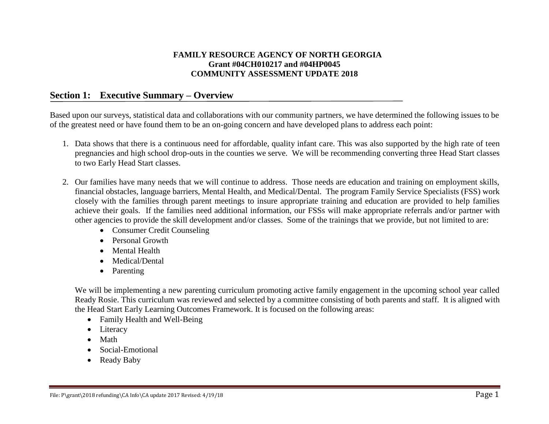## **FAMILY RESOURCE AGENCY OF NORTH GEORGIA Grant #04CH010217 and #04HP0045 COMMUNITY ASSESSMENT UPDATE 2018**

# **Section 1: Executive Summary – Overview**

Based upon our surveys, statistical data and collaborations with our community partners, we have determined the following issues to be of the greatest need or have found them to be an on-going concern and have developed plans to address each point:

- 1. Data shows that there is a continuous need for affordable, quality infant care. This was also supported by the high rate of teen pregnancies and high school drop-outs in the counties we serve. We will be recommending converting three Head Start classes to two Early Head Start classes.
- 2. Our families have many needs that we will continue to address. Those needs are education and training on employment skills, financial obstacles, language barriers, Mental Health, and Medical/Dental. The program Family Service Specialists (FSS) work closely with the families through parent meetings to insure appropriate training and education are provided to help families achieve their goals. If the families need additional information, our FSSs will make appropriate referrals and/or partner with other agencies to provide the skill development and/or classes. Some of the trainings that we provide, but not limited to are:
	- Consumer Credit Counseling
	- Personal Growth
	- Mental Health
	- Medical/Dental
	- Parenting

We will be implementing a new parenting curriculum promoting active family engagement in the upcoming school year called Ready Rosie. This curriculum was reviewed and selected by a committee consisting of both parents and staff. It is aligned with the Head Start Early Learning Outcomes Framework. It is focused on the following areas:

- Family Health and Well-Being
- Literacy
- Math
- Social-Emotional
- Ready Baby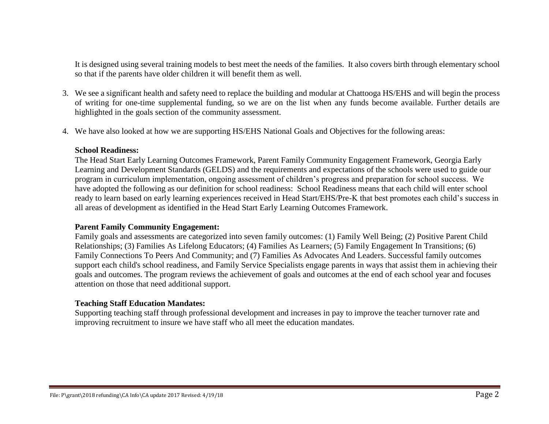It is designed using several training models to best meet the needs of the families. It also covers birth through elementary school so that if the parents have older children it will benefit them as well.

- 3. We see a significant health and safety need to replace the building and modular at Chattooga HS/EHS and will begin the process of writing for one-time supplemental funding, so we are on the list when any funds become available. Further details are highlighted in the goals section of the community assessment.
- 4. We have also looked at how we are supporting HS/EHS National Goals and Objectives for the following areas:

#### **School Readiness:**

The Head Start Early Learning Outcomes Framework, Parent Family Community Engagement Framework, Georgia Early Learning and Development Standards (GELDS) and the requirements and expectations of the schools were used to guide our program in curriculum implementation, ongoing assessment of children's progress and preparation for school success. We have adopted the following as our definition for school readiness: School Readiness means that each child will enter school ready to learn based on early learning experiences received in Head Start/EHS/Pre-K that best promotes each child's success in all areas of development as identified in the Head Start Early Learning Outcomes Framework.

#### **Parent Family Community Engagement:**

Family goals and assessments are categorized into seven family outcomes: (1) Family Well Being; (2) Positive Parent Child Relationships; (3) Families As Lifelong Educators; (4) Families As Learners; (5) Family Engagement In Transitions; (6) Family Connections To Peers And Community; and (7) Families As Advocates And Leaders. Successful family outcomes support each child's school readiness, and Family Service Specialists engage parents in ways that assist them in achieving their goals and outcomes. The program reviews the achievement of goals and outcomes at the end of each school year and focuses attention on those that need additional support.

#### **Teaching Staff Education Mandates:**

Supporting teaching staff through professional development and increases in pay to improve the teacher turnover rate and improving recruitment to insure we have staff who all meet the education mandates.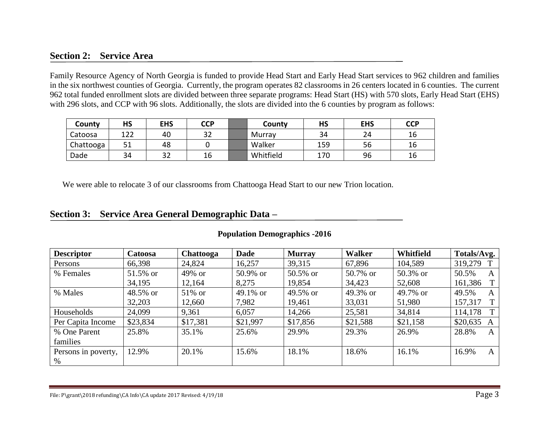# **Section 2: Service Area**

Family Resource Agency of North Georgia is funded to provide Head Start and Early Head Start services to 962 children and families in the six northwest counties of Georgia. Currently, the program operates 82 classrooms in 26 centers located in 6 counties. The current 962 total funded enrollment slots are divided between three separate programs: Head Start (HS) with 570 slots, Early Head Start (EHS) with 296 slots, and CCP with 96 slots. Additionally, the slots are divided into the 6 counties by program as follows:

| County    | <b>HS</b> | <b>EHS</b> | <b>CCP</b> | County    | HS  | <b>EHS</b> | <b>CCP</b> |
|-----------|-----------|------------|------------|-----------|-----|------------|------------|
| Catoosa   | 122       | 40         | າາ<br>ے ت  | Murray    | 34  | 24         | 16         |
| Chattooga | 51<br>⊥ ب | 48         |            | Walker    | 159 | 56         | 16         |
| Dade      | 34        | 32         | 16         | Whitfield | 170 | 96         | 16         |

We were able to relocate 3 of our classrooms from Chattooga Head Start to our new Trion location.

## **Section 3: Service Area General Demographic Data –**

| <b>Descriptor</b>   | Catoosa  | <b>Chattooga</b> | <b>Dade</b> | <b>Murray</b> | Walker   | Whitfield | Totals/Avg.               |
|---------------------|----------|------------------|-------------|---------------|----------|-----------|---------------------------|
| Persons             | 66,398   | 24,824           | 16,257      | 39,315        | 67,896   | 104,589   | 319,279<br>$\mathbf{T}$   |
| % Females           | 51.5% or | 49% or           | 50.9% or    | 50.5% or      | 50.7% or | 50.3% or  | 50.5%<br>$\mathsf{A}$     |
|                     | 34,195   | 12,164           | 8,275       | 19,854        | 34,423   | 52,608    | 161,386<br>T <sub>1</sub> |
| % Males             | 48.5% or | 51% or           | 49.1% or    | 49.5% or      | 49.3% or | 49.7% or  | 49.5%<br>A                |
|                     | 32,203   | 12,660           | 7,982       | 19,461        | 33,031   | 51,980    | 157,317<br>T <sub>1</sub> |
| Households          | 24,099   | 9,361            | 6,057       | 14,266        | 25,581   | 34,814    | T <sub>1</sub><br>114,178 |
| Per Capita Income   | \$23,834 | \$17,381         | \$21,997    | \$17,856      | \$21,588 | \$21,158  | \$20,635<br>A             |
| % One Parent        | 25.8%    | 35.1%            | 25.6%       | 29.9%         | 29.3%    | 26.9%     | 28.8%<br>$\mathbf{A}$     |
| families            |          |                  |             |               |          |           |                           |
| Persons in poverty, | 12.9%    | 20.1%            | 15.6%       | 18.1%         | 18.6%    | 16.1%     | 16.9%<br>A                |
| $\%$                |          |                  |             |               |          |           |                           |

#### **Population Demographics -2016**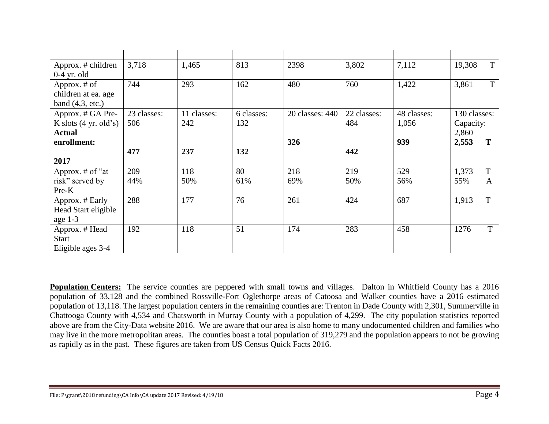| Approx. # children              | 3,718       | 1,465       | 813        | 2398            | 3,802       | 7,112       | T<br>19,308  |
|---------------------------------|-------------|-------------|------------|-----------------|-------------|-------------|--------------|
| $0-4$ yr. old                   |             |             |            |                 |             |             |              |
| Approx. # of                    | 744         | 293         | 162        | 480             | 760         | 1,422       | T<br>3,861   |
| children at ea. age             |             |             |            |                 |             |             |              |
| band $(4,3, etc.)$              |             |             |            |                 |             |             |              |
| Approx. # GA Pre-               | 23 classes: | 11 classes: | 6 classes: | 20 classes: 440 | 22 classes: | 48 classes: | 130 classes: |
| K slots $(4 \text{ yr. old's})$ | 506         | 242         | 132        |                 | 484         | 1,056       | Capacity:    |
| <b>Actual</b>                   |             |             |            |                 |             |             | 2,860        |
| enrollment:                     |             |             |            | 326             |             | 939         | 2,553        |
|                                 | 477         | 237         | 132        |                 | 442         |             |              |
| 2017                            |             |             |            |                 |             |             |              |
| Approx. $#$ of "at              | 209         | 118         | 80         | 218             | 219         | 529         | T<br>1,373   |
| risk" served by                 | 44%         | 50%         | 61%        | 69%             | 50%         | 56%         | 55%<br>A     |
| $Pre-K$                         |             |             |            |                 |             |             |              |
| Approx. # Early                 | 288         | 177         | 76         | 261             | 424         | 687         | 1,913<br>T   |
| Head Start eligible             |             |             |            |                 |             |             |              |
| age 1-3                         |             |             |            |                 |             |             |              |
| Approx. # Head                  | 192         | 118         | 51         | 174             | 283         | 458         | T<br>1276    |
| <b>Start</b>                    |             |             |            |                 |             |             |              |
| Eligible ages 3-4               |             |             |            |                 |             |             |              |

**Population Centers:** The service counties are peppered with small towns and villages. Dalton in Whitfield County has a 2016 population of 33,128 and the combined Rossville-Fort Oglethorpe areas of Catoosa and Walker counties have a 2016 estimated population of 13,118. The largest population centers in the remaining counties are: Trenton in Dade County with 2,301, Summerville in Chattooga County with 4,534 and Chatsworth in Murray County with a population of 4,299. The city population statistics reported above are from the City-Data website 2016. We are aware that our area is also home to many undocumented children and families who may live in the more metropolitan areas. The counties boast a total population of 319,279 and the population appears to not be growing as rapidly as in the past. These figures are taken from US Census Quick Facts 2016.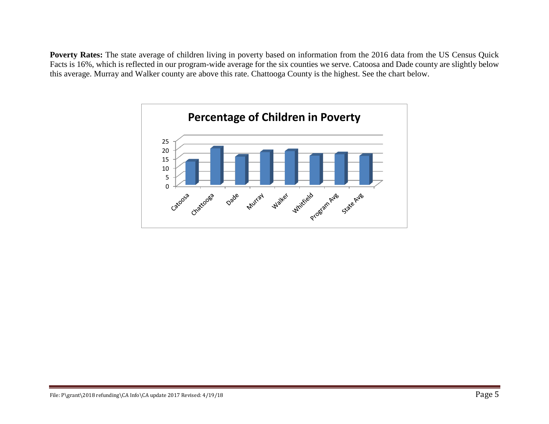Poverty Rates: The state average of children living in poverty based on information from the 2016 data from the US Census Quick Facts is 16%, which is reflected in our program-wide average for the six counties we serve. Catoosa and Dade county are slightly below this average. Murray and Walker county are above this rate. Chattooga County is the highest. See the chart below.

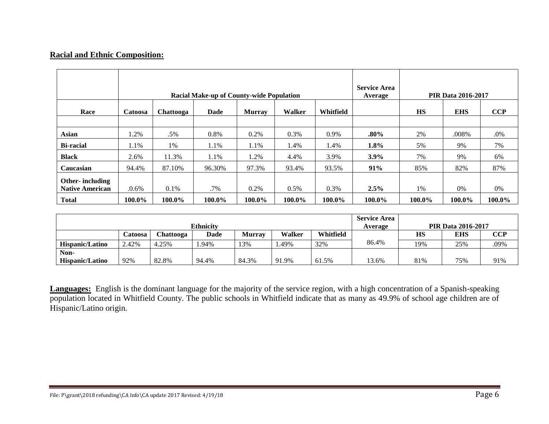## **Racial and Ethnic Composition:**

|                        |          |           | <b>Racial Make-up of County-wide Population</b> |               |         |           | <b>Service Area</b><br>Average |           | <b>PIR Data 2016-2017</b> |            |
|------------------------|----------|-----------|-------------------------------------------------|---------------|---------|-----------|--------------------------------|-----------|---------------------------|------------|
| Race                   | Catoosa  | Chattooga | Dade                                            | <b>Murray</b> | Walker  | Whitfield |                                | <b>HS</b> | <b>EHS</b>                | <b>CCP</b> |
|                        |          |           |                                                 |               |         |           |                                |           |                           |            |
| <b>Asian</b>           | 1.2%     | .5%       | 0.8%                                            | 0.2%          | 0.3%    | 0.9%      | $.80\%$                        | 2%        | .008%                     | .0%        |
| <b>Bi-racial</b>       | 1.1%     | 1%        | 1.1%                                            | 1.1%          | 1.4%    | 1.4%      | $1.8\%$                        | 5%        | 9%                        | 7%         |
| <b>Black</b>           | 2.6%     | 11.3%     | 1.1%                                            | 1.2%          | 4.4%    | 3.9%      | $3.9\%$                        | 7%        | 9%                        | 6%         |
| Caucasian              | 94.4%    | 87.10%    | 96.30%                                          | 97.3%         | 93.4%   | 93.5%     | 91%                            | 85%       | 82%                       | 87%        |
| Other-including        |          |           |                                                 |               |         |           |                                |           |                           |            |
| <b>Native American</b> | $.0.6\%$ | $0.1\%$   | .7%                                             | $0.2\%$       | $0.5\%$ | 0.3%      | $2.5\%$                        | 1%        | 0%                        | 0%         |
| <b>Total</b>           | 100.0%   | 100.0%    | 100.0%                                          | 100.0%        | 100.0%  | 100.0%    | 100.0%                         | 100.0%    | 100.0%                    | 100.0%     |

|                 |         |           | <b>Ethnicity</b> |               |        |           | <b>Service Area</b><br>Average |           | <b>PIR Data 2016-2017</b> |            |
|-----------------|---------|-----------|------------------|---------------|--------|-----------|--------------------------------|-----------|---------------------------|------------|
|                 | Catoosa | Chattooga | <b>Dade</b>      | <b>Murray</b> | Walker | Whitfield |                                | <b>HS</b> | <b>EHS</b>                | <b>CCP</b> |
| Hispanic/Latino | 2.42%   | 4.25%     | .94%             | 13%           | .49%   | 32%       | 86.4%                          | 19%       | 25%                       | .09%       |
| Non-            |         |           |                  |               |        |           |                                |           |                           |            |
| Hispanic/Latino | 92%     | 82.8%     | 94.4%            | 84.3%         | 91.9%  | 61.5%     | 13.6%                          | 81%       | 75%                       | 91%        |

**Languages:** English is the dominant language for the majority of the service region, with a high concentration of a Spanish-speaking population located in Whitfield County. The public schools in Whitfield indicate that as many as 49.9% of school age children are of Hispanic/Latino origin.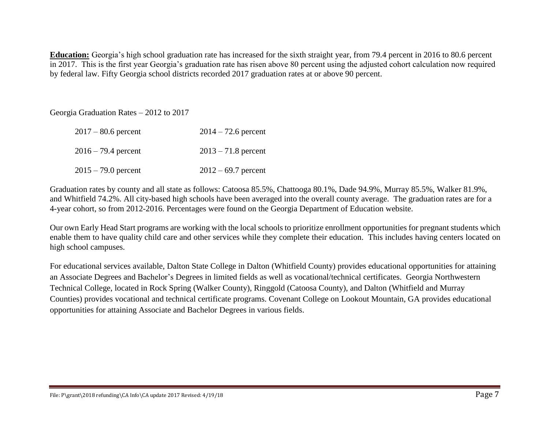**Education:** Georgia's high school graduation rate has increased for the sixth straight year, from 79.4 percent in 2016 to 80.6 percent in 2017. This is the first year Georgia's graduation rate has risen above 80 percent using the adjusted cohort calculation now required by federal law. Fifty Georgia school districts recorded 2017 graduation rates at or above 90 percent.

Georgia Graduation Rates – 2012 to 2017

| $2017 - 80.6$ percent | $2014 - 72.6$ percent |
|-----------------------|-----------------------|
| $2016 - 79.4$ percent | $2013 - 71.8$ percent |
| $2015 - 79.0$ percent | $2012 - 69.7$ percent |

Graduation rates by county and all state as follows: Catoosa 85.5%, Chattooga 80.1%, Dade 94.9%, Murray 85.5%, Walker 81.9%, and Whitfield 74.2%. All city-based high schools have been averaged into the overall county average. The graduation rates are for a 4-year cohort, so from 2012-2016. Percentages were found on the Georgia Department of Education website.

Our own Early Head Start programs are working with the local schools to prioritize enrollment opportunities for pregnant students which enable them to have quality child care and other services while they complete their education. This includes having centers located on high school campuses.

For educational services available, Dalton State College in Dalton (Whitfield County) provides educational opportunities for attaining an Associate Degrees and Bachelor's Degrees in limited fields as well as vocational/technical certificates. Georgia Northwestern Technical College, located in Rock Spring (Walker County), Ringgold (Catoosa County), and Dalton (Whitfield and Murray Counties) provides vocational and technical certificate programs. Covenant College on Lookout Mountain, GA provides educational opportunities for attaining Associate and Bachelor Degrees in various fields.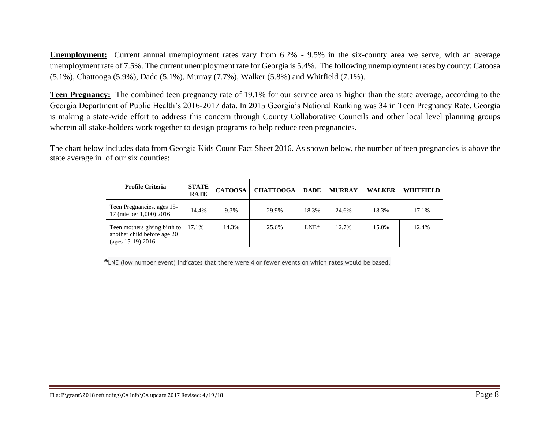**Unemployment:** Current annual unemployment rates vary from 6.2% - 9.5% in the six-county area we serve, with an average unemployment rate of 7.5%. The current unemployment rate for Georgia is 5.4%. The following unemployment rates by county: Catoosa (5.1%), Chattooga (5.9%), Dade (5.1%), Murray (7.7%), Walker (5.8%) and Whitfield (7.1%).

**Teen Pregnancy:** The combined teen pregnancy rate of 19.1% for our service area is higher than the state average, according to the Georgia Department of Public Health's 2016-2017 data. In 2015 Georgia's National Ranking was 34 in Teen Pregnancy Rate. Georgia is making a state-wide effort to address this concern through County Collaborative Councils and other local level planning groups wherein all stake-holders work together to design programs to help reduce teen pregnancies.

The chart below includes data from Georgia Kids Count Fact Sheet 2016. As shown below, the number of teen pregnancies is above the state average in of our six counties:

| <b>Profile Criteria</b>                                                             | <b>STATE</b><br><b>RATE</b> | <b>CATOOSA</b> | <b>CHATTOOGA</b> | <b>DADE</b> | <b>MURRAY</b> | <b>WALKER</b> | WHITFIELD |
|-------------------------------------------------------------------------------------|-----------------------------|----------------|------------------|-------------|---------------|---------------|-----------|
| Teen Pregnancies, ages 15-<br>17 (rate per 1,000) 2016                              | 14.4%                       | 9.3%           | 29.9%            | 18.3%       | 24.6%         | 18.3%         | 17.1%     |
| Teen mothers giving birth to<br>another child before age 20<br>(ages $15-19$ ) 2016 | 17.1%                       | 14.3%          | 25.6%            | $LNE^*$     | 12.7%         | 15.0%         | 12.4%     |

 **\***LNE (low number event) indicates that there were 4 or fewer events on which rates would be based.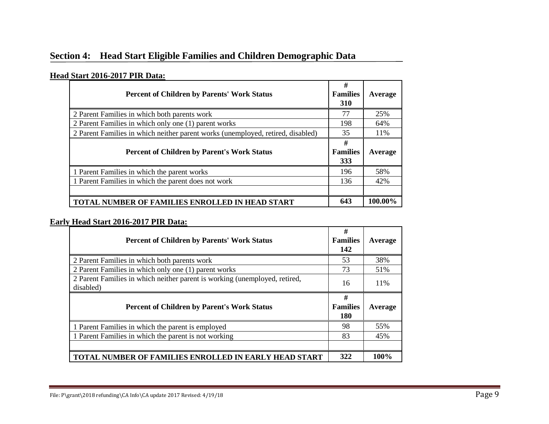# **Section 4: Head Start Eligible Families and Children Demographic Data**

## **Head Start 2016-2017 PIR Data:**

| <b>Percent of Children by Parents' Work Status</b>                              | #<br><b>Families</b><br>310 | Average |
|---------------------------------------------------------------------------------|-----------------------------|---------|
| 2 Parent Families in which both parents work                                    | 77                          | 25%     |
| 2 Parent Families in which only one (1) parent works                            | 198                         | 64%     |
| 2 Parent Families in which neither parent works (unemployed, retired, disabled) | 35                          | 11%     |
| <b>Percent of Children by Parent's Work Status</b>                              | #<br><b>Families</b><br>333 | Average |
| 1 Parent Families in which the parent works                                     | 196                         | 58%     |
| 1 Parent Families in which the parent does not work                             | 136                         | 42%     |
|                                                                                 |                             |         |
| <b>TOTAL NUMBER OF FAMILIES ENROLLED IN HEAD START</b>                          | 643                         | 100.00% |

## **Early Head Start 2016-2017 PIR Data:**

| <b>Percent of Children by Parents' Work Status</b>                                      | #<br><b>Families</b><br>142        | Average |
|-----------------------------------------------------------------------------------------|------------------------------------|---------|
| 2 Parent Families in which both parents work                                            | 53                                 | 38%     |
| 2 Parent Families in which only one (1) parent works                                    | 73                                 | 51%     |
| 2 Parent Families in which neither parent is working (unemployed, retired,<br>disabled) | 16                                 | 11%     |
| <b>Percent of Children by Parent's Work Status</b>                                      | #<br><b>Families</b><br><b>180</b> | Average |
| 1 Parent Families in which the parent is employed                                       | 98                                 | 55%     |
| 1 Parent Families in which the parent is not working                                    | 83                                 | 45%     |
|                                                                                         |                                    |         |
| <b>TOTAL NUMBER OF FAMILIES ENROLLED IN EARLY HEAD START</b>                            | 322                                | 100%    |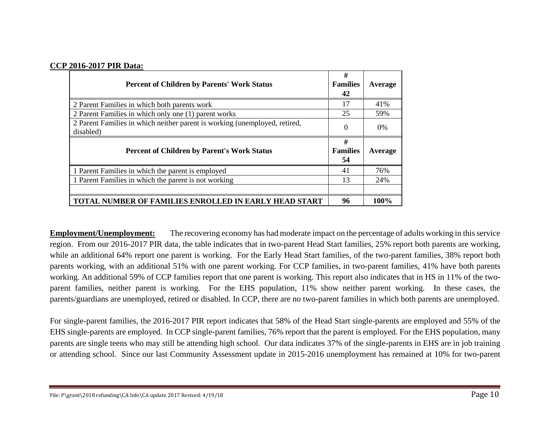#### **CCP 2016-2017 PIR Data:**

| <b>Percent of Children by Parents' Work Status</b>                                      | #<br><b>Families</b><br>42 | Average |
|-----------------------------------------------------------------------------------------|----------------------------|---------|
| 2 Parent Families in which both parents work                                            | 17                         | 41%     |
| 2 Parent Families in which only one (1) parent works                                    | 25                         | 59%     |
| 2 Parent Families in which neither parent is working (unemployed, retired,<br>disabled) | $\Omega$                   | 0%      |
| <b>Percent of Children by Parent's Work Status</b>                                      | #<br><b>Families</b><br>54 | Average |
| 1 Parent Families in which the parent is employed                                       | 41                         | 76%     |
| 1 Parent Families in which the parent is not working                                    | 13                         | 24%     |
|                                                                                         |                            |         |
| <b>TOTAL NUMBER OF FAMILIES ENROLLED IN EARLY HEAD START</b>                            | 96                         | 100%    |

**Employment/Unemployment:** The recovering economy has had moderate impact on the percentage of adults working in this service region. From our 2016-2017 PIR data, the table indicates that in two-parent Head Start families, 25% report both parents are working, while an additional 64% report one parent is working. For the Early Head Start families, of the two-parent families, 38% report both parents working, with an additional 51% with one parent working. For CCP families, in two-parent families, 41% have both parents working. An additional 59% of CCP families report that one parent is working. This report also indicates that in HS in 11% of the twoparent families, neither parent is working. For the EHS population, 11% show neither parent working. In these cases, the parents/guardians are unemployed, retired or disabled. In CCP, there are no two-parent families in which both parents are unemployed.

For single-parent families, the 2016-2017 PIR report indicates that 58% of the Head Start single-parents are employed and 55% of the EHS single-parents are employed. In CCP single-parent families, 76% report that the parent is employed. For the EHS population, many parents are single teens who may still be attending high school. Our data indicates 37% of the single-parents in EHS are in job training or attending school. Since our last Community Assessment update in 2015-2016 unemployment has remained at 10% for two-parent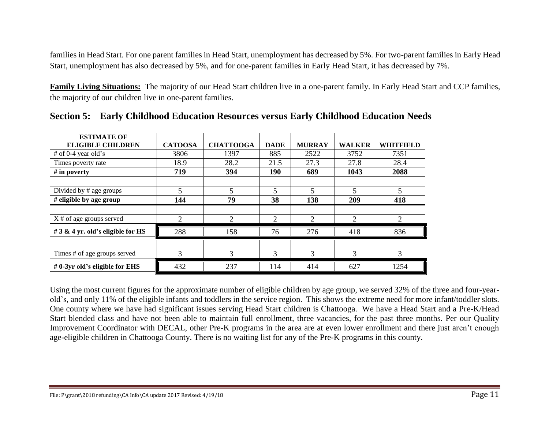families in Head Start. For one parent families in Head Start, unemployment has decreased by 5%. For two-parent families in Early Head Start, unemployment has also decreased by 5%, and for one-parent families in Early Head Start, it has decreased by 7%.

**Family Living Situations:** The majority of our Head Start children live in a one-parent family. In Early Head Start and CCP families, the majority of our children live in one-parent families.

| <b>ESTIMATE OF</b><br><b>ELIGIBLE CHILDREN</b> | <b>CATOOSA</b> | <b>CHATTOOGA</b> | <b>DADE</b> | <b>MURRAY</b> | <b>WALKER</b>  | <b>WHITFIELD</b>         |
|------------------------------------------------|----------------|------------------|-------------|---------------|----------------|--------------------------|
| # of $0-4$ year old's                          | 3806           | 1397             | 885         | 2522          | 3752           | 7351                     |
| Times poverty rate                             | 18.9           | 28.2             | 21.5        | 27.3          | 27.8           | 28.4                     |
| # in poverty                                   | 719            | 394              | 190         | 689           | 1043           | 2088                     |
|                                                |                |                  |             |               |                |                          |
| Divided by # age groups                        | 5              | 5                | 5           | 5             | $\overline{5}$ | $\overline{\phantom{0}}$ |
| # eligible by age group                        | 144            | 79               | 38          | 138           | 209            | 418                      |
|                                                |                |                  |             |               |                |                          |
| $X \#$ of age groups served                    | 2              | $\overline{2}$   | 2           | 2             | $\overline{2}$ | $\overline{2}$           |
| # 3 & 4 yr. old's eligible for HS              | 288            | 158              | 76          | 276           | 418            | 836                      |
|                                                |                |                  |             |               |                |                          |
| Times # of age groups served                   | 3              | 3                | 3           | 3             | 3              | 3                        |
| #0-3yr old's eligible for EHS                  | 432            | 237              | 114         | 414           | 627            | 1254                     |

**Section 5: Early Childhood Education Resources versus Early Childhood Education Needs** 

Using the most current figures for the approximate number of eligible children by age group, we served 32% of the three and four-yearold's, and only 11% of the eligible infants and toddlers in the service region. This shows the extreme need for more infant/toddler slots. One county where we have had significant issues serving Head Start children is Chattooga. We have a Head Start and a Pre-K/Head Start blended class and have not been able to maintain full enrollment, three vacancies, for the past three months. Per our Quality Improvement Coordinator with DECAL, other Pre-K programs in the area are at even lower enrollment and there just aren't enough age-eligible children in Chattooga County. There is no waiting list for any of the Pre-K programs in this county.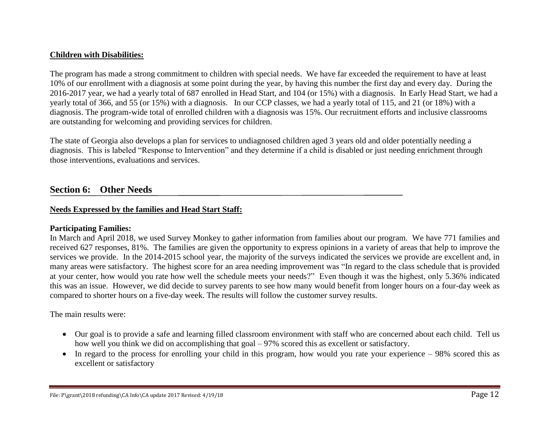### **Children with Disabilities:**

The program has made a strong commitment to children with special needs. We have far exceeded the requirement to have at least 10% of our enrollment with a diagnosis at some point during the year, by having this number the first day and every day. During the 2016-2017 year, we had a yearly total of 687 enrolled in Head Start, and 104 (or 15%) with a diagnosis. In Early Head Start, we had a yearly total of 366, and 55 (or 15%) with a diagnosis. In our CCP classes, we had a yearly total of 115, and 21 (or 18%) with a diagnosis. The program-wide total of enrolled children with a diagnosis was 15%. Our recruitment efforts and inclusive classrooms are outstanding for welcoming and providing services for children.

The state of Georgia also develops a plan for services to undiagnosed children aged 3 years old and older potentially needing a diagnosis. This is labeled "Response to Intervention" and they determine if a child is disabled or just needing enrichment through those interventions, evaluations and services.

# **Section 6: Other Needs**

## **Needs Expressed by the families and Head Start Staff:**

#### **Participating Families:**

In March and April 2018, we used Survey Monkey to gather information from families about our program. We have 771 families and received 627 responses, 81%. The families are given the opportunity to express opinions in a variety of areas that help to improve the services we provide. In the 2014-2015 school year, the majority of the surveys indicated the services we provide are excellent and, in many areas were satisfactory. The highest score for an area needing improvement was "In regard to the class schedule that is provided at your center, how would you rate how well the schedule meets your needs?" Even though it was the highest, only 5.36% indicated this was an issue. However, we did decide to survey parents to see how many would benefit from longer hours on a four-day week as compared to shorter hours on a five-day week. The results will follow the customer survey results.

The main results were:

- Our goal is to provide a safe and learning filled classroom environment with staff who are concerned about each child. Tell us how well you think we did on accomplishing that goal – 97% scored this as excellent or satisfactory.
- In regard to the process for enrolling your child in this program, how would you rate your experience 98% scored this as excellent or satisfactory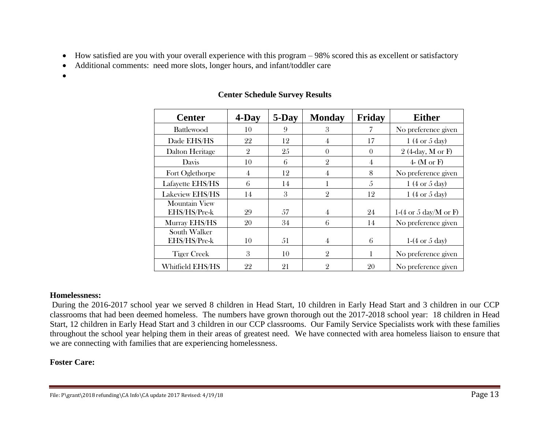- How satisfied are you with your overall experience with this program 98% scored this as excellent or satisfactory
- Additional comments: need more slots, longer hours, and infant/toddler care
- •

| <b>Center</b>                        | $4$ -Day       | 5-Day | <b>Monday</b>  | Friday   | <b>Either</b>                     |
|--------------------------------------|----------------|-------|----------------|----------|-----------------------------------|
| <b>Battlewood</b>                    | 10             | 9     | 3              |          | No preference given               |
| Dade EHS/HS                          | 22             | 12    | 4              | 17       | 1 (4 or 5 day)                    |
| Dalton Heritage                      | $\overline{2}$ | 25    | $\Omega$       | $\Omega$ | $2$ (4-day, M or F)               |
| Davis                                | 10             | 6     | $\overline{2}$ | 4        | 4- (M or F)                       |
| Fort Oglethorpe                      | 4              | 12    | 4              | 8        | No preference given               |
| Lafayette EHS/HS                     | 6              | 14    |                | 5        | 1 (4 or 5 day)                    |
| Lakeview EHS/HS                      | 14             | 3     | $\overline{2}$ | 12       | $1(4 \text{ or } 5 \text{ day})$  |
| <b>Mountain View</b><br>EHS/HS/Pre-k | 29             | 57    | 4              | 24       | 1-(4 or 5 day/M or F)             |
| Murray EHS/HS                        | 20             | 34    | 6              | 14       | No preference given               |
| South Walker<br>EHS/HS/Pre-k         | 10             | 51    | 4              | 6        | $1-(4 \text{ or } 5 \text{ day})$ |
| <b>Tiger Creek</b>                   | 3              | 10    | $\overline{2}$ | 1        | No preference given               |
| Whitfield EHS/HS                     | 22             | 21    | $\overline{2}$ | 20       | No preference given               |

# **Center Schedule Survey Results**

## **Homelessness:**

During the 2016-2017 school year we served 8 children in Head Start, 10 children in Early Head Start and 3 children in our CCP classrooms that had been deemed homeless. The numbers have grown thorough out the 2017-2018 school year: 18 children in Head Start, 12 children in Early Head Start and 3 children in our CCP classrooms. Our Family Service Specialists work with these families throughout the school year helping them in their areas of greatest need. We have connected with area homeless liaison to ensure that we are connecting with families that are experiencing homelessness.

# **Foster Care:**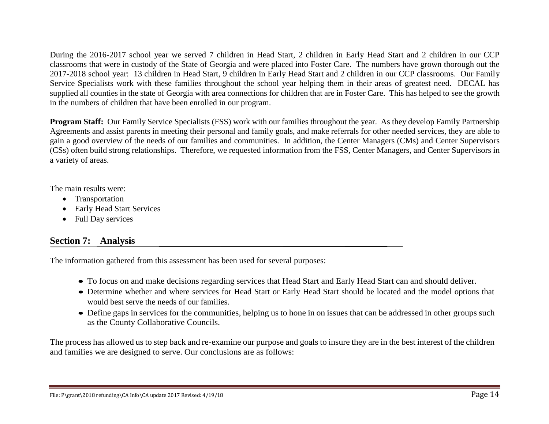During the 2016-2017 school year we served 7 children in Head Start, 2 children in Early Head Start and 2 children in our CCP classrooms that were in custody of the State of Georgia and were placed into Foster Care. The numbers have grown thorough out the 2017-2018 school year: 13 children in Head Start, 9 children in Early Head Start and 2 children in our CCP classrooms. Our Family Service Specialists work with these families throughout the school year helping them in their areas of greatest need. DECAL has supplied all counties in the state of Georgia with area connections for children that are in Foster Care. This has helped to see the growth in the numbers of children that have been enrolled in our program.

**Program Staff:** Our Family Service Specialists (FSS) work with our families throughout the year. As they develop Family Partnership Agreements and assist parents in meeting their personal and family goals, and make referrals for other needed services, they are able to gain a good overview of the needs of our families and communities. In addition, the Center Managers (CMs) and Center Supervisors (CSs) often build strong relationships. Therefore, we requested information from the FSS, Center Managers, and Center Supervisors in a variety of areas.

The main results were:

- Transportation
- Early Head Start Services
- Full Day services

# **Section 7: Analysis**

The information gathered from this assessment has been used for several purposes:

- To focus on and make decisions regarding services that Head Start and Early Head Start can and should deliver.
- Determine whether and where services for Head Start or Early Head Start should be located and the model options that would best serve the needs of our families.
- Define gaps in services for the communities, helping us to hone in on issues that can be addressed in other groups such as the County Collaborative Councils.

The process has allowed us to step back and re-examine our purpose and goals to insure they are in the best interest of the children and families we are designed to serve. Our conclusions are as follows: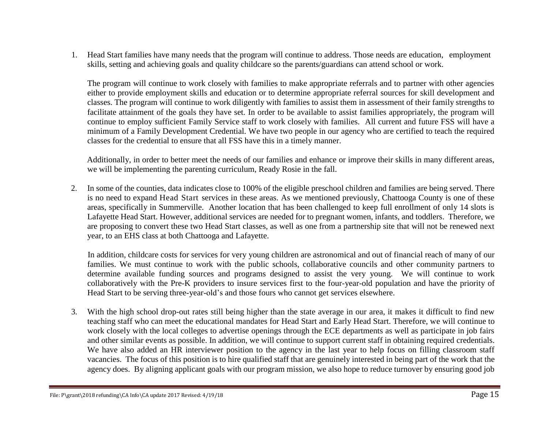1. Head Start families have many needs that the program will continue to address. Those needs are education, employment skills, setting and achieving goals and quality childcare so the parents/guardians can attend school or work.

The program will continue to work closely with families to make appropriate referrals and to partner with other agencies either to provide employment skills and education or to determine appropriate referral sources for skill development and classes. The program will continue to work diligently with families to assist them in assessment of their family strengths to facilitate attainment of the goals they have set. In order to be available to assist families appropriately, the program will continue to employ sufficient Family Service staff to work closely with families. All current and future FSS will have a minimum of a Family Development Credential. We have two people in our agency who are certified to teach the required classes for the credential to ensure that all FSS have this in a timely manner.

Additionally, in order to better meet the needs of our families and enhance or improve their skills in many different areas, we will be implementing the parenting curriculum, Ready Rosie in the fall.

2. In some of the counties, data indicates close to 100% of the eligible preschool children and families are being served. There is no need to expand Head Start services in these areas. As we mentioned previously, Chattooga County is one of these areas, specifically in Summerville. Another location that has been challenged to keep full enrollment of only 14 slots is Lafayette Head Start. However, additional services are needed for to pregnant women, infants, and toddlers. Therefore, we are proposing to convert these two Head Start classes, as well as one from a partnership site that will not be renewed next year, to an EHS class at both Chattooga and Lafayette.

In addition, childcare costs for services for very young children are astronomical and out of financial reach of many of our families. We must continue to work with the public schools, collaborative councils and other community partners to determine available funding sources and programs designed to assist the very young. We will continue to work collaboratively with the Pre-K providers to insure services first to the four-year-old population and have the priority of Head Start to be serving three-year-old's and those fours who cannot get services elsewhere.

3. With the high school drop-out rates still being higher than the state average in our area, it makes it difficult to find new teaching staff who can meet the educational mandates for Head Start and Early Head Start. Therefore, we will continue to work closely with the local colleges to advertise openings through the ECE departments as well as participate in job fairs and other similar events as possible. In addition, we will continue to support current staff in obtaining required credentials. We have also added an HR interviewer position to the agency in the last year to help focus on filling classroom staff vacancies. The focus of this position is to hire qualified staff that are genuinely interested in being part of the work that the agency does. By aligning applicant goals with our program mission, we also hope to reduce turnover by ensuring good job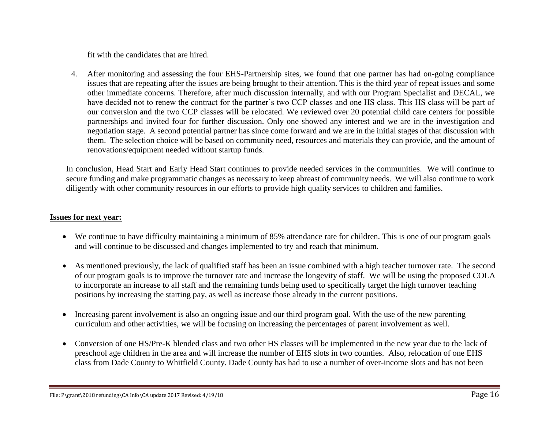fit with the candidates that are hired.

4. After monitoring and assessing the four EHS-Partnership sites, we found that one partner has had on-going compliance issues that are repeating after the issues are being brought to their attention. This is the third year of repeat issues and some other immediate concerns. Therefore, after much discussion internally, and with our Program Specialist and DECAL, we have decided not to renew the contract for the partner's two CCP classes and one HS class. This HS class will be part of our conversion and the two CCP classes will be relocated. We reviewed over 20 potential child care centers for possible partnerships and invited four for further discussion. Only one showed any interest and we are in the investigation and negotiation stage. A second potential partner has since come forward and we are in the initial stages of that discussion with them. The selection choice will be based on community need, resources and materials they can provide, and the amount of renovations/equipment needed without startup funds.

In conclusion, Head Start and Early Head Start continues to provide needed services in the communities. We will continue to secure funding and make programmatic changes as necessary to keep abreast of community needs. We will also continue to work diligently with other community resources in our efforts to provide high quality services to children and families.

## **Issues for next year:**

- We continue to have difficulty maintaining a minimum of 85% attendance rate for children. This is one of our program goals and will continue to be discussed and changes implemented to try and reach that minimum.
- As mentioned previously, the lack of qualified staff has been an issue combined with a high teacher turnover rate. The second of our program goals is to improve the turnover rate and increase the longevity of staff. We will be using the proposed COLA to incorporate an increase to all staff and the remaining funds being used to specifically target the high turnover teaching positions by increasing the starting pay, as well as increase those already in the current positions.
- Increasing parent involvement is also an ongoing issue and our third program goal. With the use of the new parenting curriculum and other activities, we will be focusing on increasing the percentages of parent involvement as well.
- Conversion of one HS/Pre-K blended class and two other HS classes will be implemented in the new year due to the lack of preschool age children in the area and will increase the number of EHS slots in two counties. Also, relocation of one EHS class from Dade County to Whitfield County. Dade County has had to use a number of over-income slots and has not been